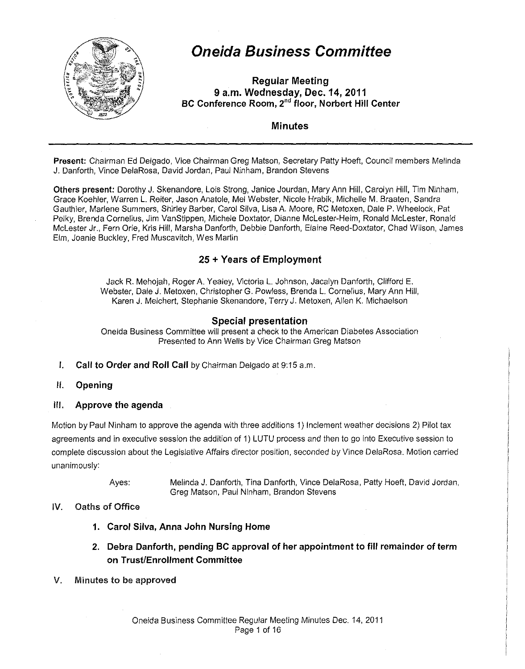

# **Oneida Business Committee**

**Regular Meeting 9 a.m. Wednesday, Dec. 14, 2011 BC Conference Room,** *2"d* **floor, Norbert Hill Center** 

### **Minutes**

**Present:** Chairman Ed Delgado, Vice Chairman Greg Matson, Secretary Patty Hoeft, Council members Melinda J. Danforth, Vince DelaRosa, David Jordan, Paul Ninham, Brandon Stevens

**Others present:** Dorothy J. Skenandore, Lois Strong, Janice Jourdan, Mary Ann Hill, Carolyn Hill, Tim Ninham, Grace Koehler, Warren L. Reiter, Jason Anatole, Mel Webster, Nicole Hrabik, Michelle M. Braaten, Sandra Gauthier, Marlene Summers, Shirley Barber, Carol Silva, Lisa A. Moore, RC Metoxen, Dale P. Wheelock, Pat Pelky, Brenda Cornelius, Jim VanStippen, Michele Doxtator, Dianne Mclester-Heim, Ronald Mclester, Ronald Mclester Jr., Fern Orie, Kris Hill, Marsha Danforth, Debbie Danforth, Elaine Reed-Doxtator, Chad Wilson, James Elm, Joanie Buckley, Fred Muscavitch, Wes Martin

# **25 +Years of Employment**

Jack R. Mehojah, Roger A. Yealey, Victoria L. Johnson, Jacalyn Danforth, Clifford E. Webster, Dale J. Metoxen, Christopher G. Powless, Brenda L. Cornelius, Mary Ann Hill, Karen J. Melchert, Stephanie Skenandore, TerryJ. Metoxen, Allen K. Michaelson

### **Special presentation**

Oneida Business Committee will present a check to the American Diabetes Association Presented to Ann Wells by Vice Chairman Greg Matson

- **I. Call to Order and Roll Call** by Chairman Delgado at 9:15a.m.
- II. **Opening**
- Ill. **Approve the agenda**

Motion by Paul Ninham to approve the agenda with three additions 1) Inclement weather decisions 2) Pilot tax agreements and in executive session the addition of 1) LUTU process and then to go into Executive session to complete discussion about the Legislative Affairs director position, seconded by Vince DelaRosa. Motion carried unanimously:

Ayes: Melinda J. Danforth, Tina Danforth, Vince DelaRosa, Patty Hoeft, David Jordan, Greg Matson, Paul Ninham, Brandon Stevens

### IV. Oaths of Office

- **1. Carol Silva, Anna John Nursing Home**
- **2. Debra Danforth, pending BC approval of her appointment to fill remainder of term on Trust/Enrollment Committee**
- V. Minutes to be approved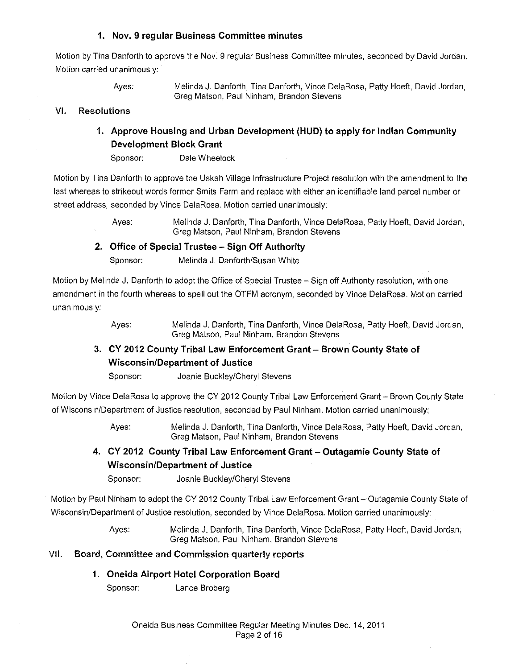### **1. Nov. 9 regular Business Committee minutes**

Motion by Tina Danforth to approve the Nov. 9 regular Business Committee minutes, seconded by David Jordan. Motion carried unanimously:

Ayes: Melinda J. Danforth, Tina Danforth, Vince DelaRosa, Patty Hoeft, David Jordan, Greg Matson, Paul Ninham, Brandon Stevens

#### VI. Resolutions

### **1. Approve Housing and Urban Development (HUD) to apply for Indian Community Development Block Grant**

Sponsor: Dale Wheelock

Motion by Tina Danforth to approve the Uskah Village Infrastructure Project resolution with the amendment to the last whereas to strikeout words former Smits Farm and replace with either an identifiable land parcel number or street address, seconded by Vince DelaRosa. Motion carried unanimously:

> Ayes: Melinda J. Danforth, Tina Danforth, Vince DelaRosa, Patty Hoeft, David Jordan, Greg Matson, Paul Ninham, Brandon Stevens

### **2. Office of Special Trustee - Sign Off Authority**

Sponsor: Melinda J. Danforth/Susan White

Motion by Melinda J. Danforth to adopt the Office of Special Trustee- Sign off Authority resolution, with one amendment in the fourth whereas to spell out the OTFM acronym, seconded by Vince DelaRosa. Motion carried unanimously:

> Ayes: Melinda J. Danforth, Tina Danforth, Vince DelaRosa, Patty Hoeft, David Jordan, Greg Matson, Paul Ninham, Brandon Stevens

# **3. CY 2012 County Tribal Law Enforcement Grant- Brown County State of Wisconsin/Department of Justice**

Sponsor: Joanie Buckley/Cheryl Stevens

Motion by Vince DelaRosa to approve the CY 2012 County Tribal Law Enforcement Grant- Brown County State of Wisconsin/Department of Justice resolution, seconded by Paul Ninham. Motion carried unanimously;

> Ayes: Melinda J. Danforth, Tina Danforth, Vince DelaRosa, Patty Hoeft, David Jordan, Greg Matson, Paul Ninham, Brandon Stevens

# **4. CY 2012 County Tribal Law Enforcement Grant- Outagamie County State of Wisconsin/Department of Justice**

Sponsor: Joanie Buckley/Cheryl Stevens

Motion by Paul Ninham to adopt the CY 2012 County Tribal Law Enforcement Grant- Outagamie County State of Wisconsin/Department of Justice resolution, seconded by Vince DelaRosa. Motion carried unanimously:

> Ayes: Melinda J. Danforth, Tina Danforth, Vince DelaRosa, Patty Hoeft, David Jordan, Greg Matson, Paul Ninham, Brandon Stevens

#### VII. Board, Committee and Commission quarterly reports

### **1. Oneida Airport Hotel Corporation Board**

Sponsor: Lance Broberg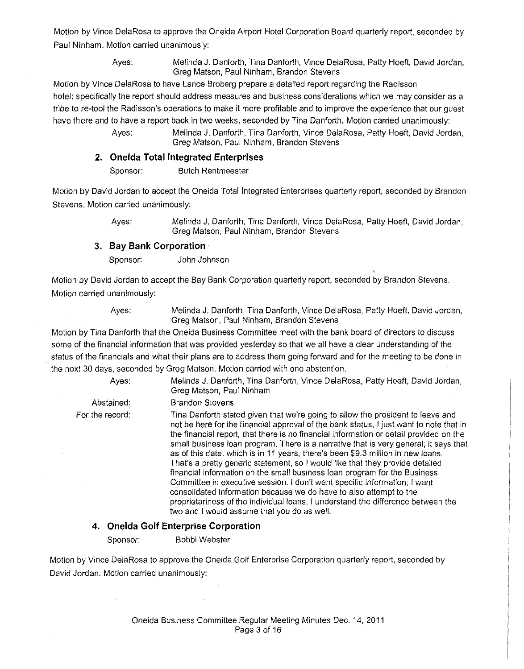Motion by Vince DelaRosa to approve the Oneida Airport Hotel Corporation Board quarterly report, seconded by Paul Ninham. Motion carried unanimously:

> Ayes: Melinda J. Danforth, Tina Danforth, Vince DelaRosa, Patty Hoeft, David Jordan, Greg Matson, Paul Ninham, Brandon Stevens

Motion by Vince DelaRosa to have Lance Broberg prepare a detailed report regarding the Radisson hotel; specifically the report should address measures and business considerations which we may consider as a tribe to re-tool the Radisson's operations to make it more profitable and to improve the experience that our guest have there and to have a report back in two weeks, seconded by Tina Danforth. Motion carried unanimously:

> Ayes: Melinda J. Danforth, Tina Danforth, Vince DelaRosa, Patty Hoeft, David Jordan, Greg Matson, Paul Ninham, Brandon Stevens

### **2. Oneida Total Integrated Enterprises**

Sponsor: Butch Rentmeester

Motion by David Jordan to accept the Oneida Total integrated Enterprises quarterly report, seconded by Brandon Stevens. Motion carried unanimously:

Ayes: Melinda J. Danforth, Tina Danforth, Vince DelaRosa, Patty Hoeft, David Jordan, Greg Matson, Paul Ninham, Brandon Stevens

### 3. **Bay Bank Corporation**

Sponsor: John Johnson

Motion by David Jordan to accept the Bay Bank Corporation quarterly report, seconded by Brandon Stevens. Motion carried unanimously:

Ayes: Melinda J. Danforth, Tina Danforth, Vince DelaRosa, Patty Hoeft, David Jordan, Greg Matson, Paul Ninham, Brandon Stevens

Motion by Tina Danforth that the Oneida Business Committee meet with the bank board of directors to discuss some of the financial information that was provided yesterday so that we all have a clear understanding of the status of the financials and what their plans are to address them going forward and for the meeting to be done in the next 30 days, seconded by Greg Matson. Motion carried with one abstention.

> Ayes: Melinda J. Danforth, Tina Danforth, Vince DelaRosa, Patty Hoeft, David Jordan, Greg Matson, Paul Ninham

Abstained: Brandon Stevens

For the record: Tina Danforth stated given that we're going to allow the president to leave and not be here for the financial approval of the bank status, I just want to note that in the financial report, that there is no financial information or detail provided on the small business loan program. There is a narrative that is very general; it says that as of this date, which is in 11 years, there's been \$9.3 million in new loans. That's a pretty generic statement, so I would like that they provide detailed financial information on the small business loan program for the Business Committee in executive session. I don't want specific information; I want consolidated information because we do have to also attempt to the proprietariness of the individual loans. I understand the difference between the two and I would assume that you do as well.

### **4. Oneida Golf Enterprise Corporation**

Sponsor: Bobbi Webster

Motion by Vince DelaRosa to approve the Oneida Golf Enterprise Corporation quarterly report, seconded by David Jordan. Motion carried unanimously: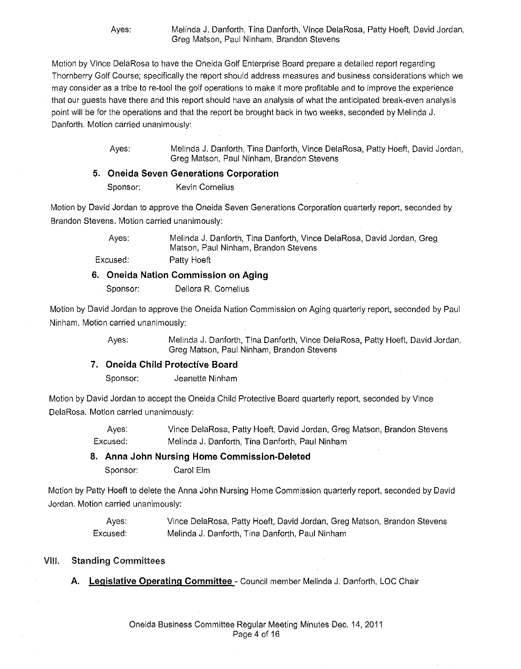Ayes: Melinda J. Danforth, Tina Danforth, Vince DelaRosa, Patty Hoeft, David Jordan, Greg Matson, Paul Ninham, Brandon Stevens

Motion by Vince DelaRosa to have the Oneida Golf Enterprise Board prepare a detailed report regarding Thornberry Golf Course; specifically the report should address measures and business considerations which we may consider as a tribe to re-tool the golf operations to make it more profitable and to improve the experience that our guests have there and this report should have an analysis of what the anticipated break-even analysis point will be for the operations and that the report be brought back in two weeks, seconded by Melinda J. Danforth. Motion carried unanimously:

> Ayes: Melinda J. Danforth, Tina Danforth, Vince DelaRosa, Patty Hoeft, David Jordan, Greg Matson, Paul Ninham, Brandon Stevens

#### **5. Oneida Seven Generations Corporation**

Sponsor: Kevin Cornelius

Motion by David Jordan to approve the Oneida Seven Generations Corporation quarterly report, seconded by Brandon Stevens. Motion carried unanimously:

> Ayes: Melinda J. Danforth, Tina Danforth, Vince DelaRosa, David Jordan, Greg Matson, Paul Ninham, Brandon Stevens

Excused: Patty Hoeft

#### **6. Oneida Nation Commission on Aging**

Sponsor: Dellora R. Cornelius

Motion by David Jordan to approve the Oneida Nation Commission on Aging quarterly report, seconded by Paul Ninham. Motion carried unanimously:

> Ayes: Melinda J. Danforth, Tina Danforth, Vince DelaRosa, Patty Hoeft, David Jordan, Greg Matson, Paul Ninham, Brandon Stevens

### **7. Oneida Child Protective Board**

Sponsor: Jeanette Ninham

Motion by David Jordan to accept the Oneida Child Protective Board quarterly report, seconded by Vince DelaRosa. Motion carried unanimously:

> Ayes: Vince DelaRosa, Patty Hoeft, David Jordan, Greg Matson, Brandon Stevens Excused: Melinda J. Danforth, Tina Danforth, Paul Ninham

### **8. Anna John Nursing Home Commission-Deleted**

Sponsor: Carol Elm

Motion by Patty Hoeft to delete the Anna John Nursing Home Commission quarterly report, seconded by David Jordan. Motion carried unanimously:

> Ayes: Excused: Vince DelaRosa, Patty Hoeft, David Jordan, Greg Matson, Brandon Stevens Melinda J. Danforth, Tina Danforth, Paul Ninham

### VIII. **Standing** Committees

**A. Legislative Operating Committee-** Council member Melinda J. Danforth, LOG Chair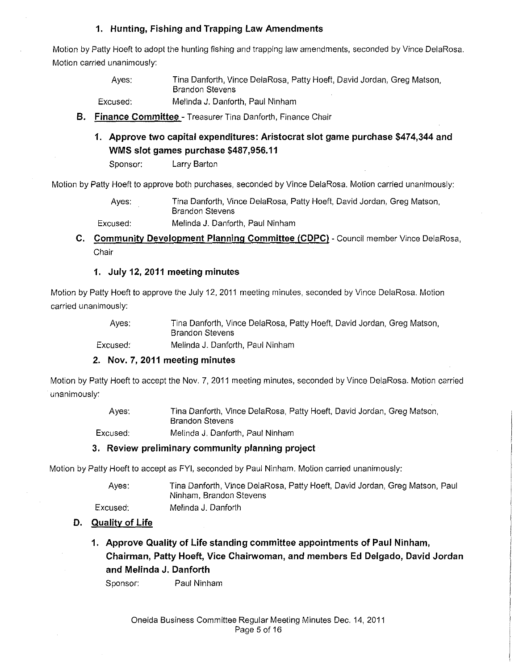### **1. Hunting, Fishing and Trapping Law Amendments**

Motion by Patty Hoeft to adopt the hunting fishing and trapping law amendments. seconded by Vince DelaRosa. Motion carried unanimously:

> Ayes: Tina Danforth, Vince DelaRosa, Patty Hoeft, David Jordan, Greg Matson, Brandon Stevens

Excused: Melinda J. Danforth, Paul Ninham

- **B. Finance Committee**  Treasurer Tina Danforth, Finance Chair
	- **1. Approve two capital expenditures: Aristocrat slot game purchase \$474,344 and WMS slot games purchase \$487,956.11**

Sponsor: Larry Barton

Motion by Patty Hoeft to approve both purchases, seconded by Vince DelaRosa. Motion carried unanimously:

Ayes: Tina Danforth, Vince DelaRosa, Patty Hoeft, David Jordan, Greg Matson, Brandon Stevens

Excused: Melinda J. Danforth, Paul Ninham

**C. Community Development Planning Committee (CDPC)** - Council member Vince DelaRosa, Chair

### **1. July 12, 2011 meeting minutes**

Motion by Patty Hoeft to approve the July 12, 2011 meeting minutes, seconded by Vince DelaRosa. Motion carried unanimously:

> Ayes: Tina Danforth, Vince DelaRosa, Patty Hoeft, David Jordan, Greg Matson, Brandon Stevens

Excused: Melinda J. Danforth, Paul Ninham

### **2. Nov. 7, 2011 meeting minutes**

Motion by Patty Hoeft to accept the Nov. 7, 2011 meeting minutes, seconded by Vince DelaRosa. Motion carried unanimously:

| Aves:    | Tina Danforth, Vince DelaRosa, Patty Hoeft, David Jordan, Greg Matson,<br><b>Brandon Stevens</b> |
|----------|--------------------------------------------------------------------------------------------------|
| Excused: | Melinda J. Danforth, Paul Ninham                                                                 |

### **3. Review preliminary community planning project**

Motion by Patty Hoeft to accept as FYI, seconded by Paul Ninham. Motion carried unanimously:

Ayes: Excused: Tina Danforth, Vince DelaRosa, Patty Hoeft, David Jordan, Greg Matson, Paul Ninham, Brandon Stevens Melinda J. Danforth

# **D. Quality of Life**

**1. Approve Quality of Life standing committee appointments of Paul Ninham, Chairman, Patty Hoeft, Vice Chairwoman, and members Ed Delgado, David Jordan and Melinda J. Danforth** 

Sponsor: Paul Ninham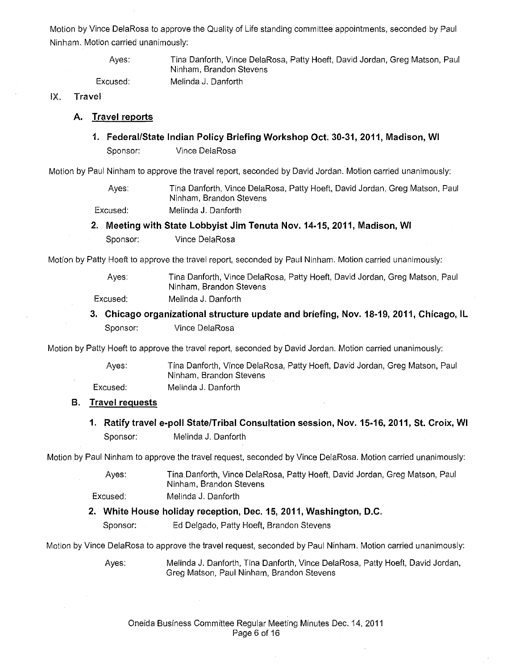Motion by Vince DelaRosa to approve the Quality of Life standing committee appointments, seconded by Paul Ninham. Motion carried unanimously:

> Ayes: Excused:

Tina Danforth, Vince DelaRosa, Patty Hoeft, David Jordan, Greg Matson, Paul Ninham, Brandon Stevens Melinda J. Danforth

IX. Travel

### **A. Travel reports**

**1. Federal/State Indian Policy Briefing Workshop Oct. 30-31, 2011, Madison, WI**  Sponsor: Vince DelaRosa

Motion by Paul Ninham to approve the travel report, seconded by David Jordan. Motion carried unanimously:

Ayes: Tina Danforth, Vince DelaRosa, Patty Hoeft, David Jordan, Greg Matson, Paul Ninham, Brandon Stevens

Excused: Melinda J. Danforth

**2. Meeting with State Lobbyist Jim Tenuta Nov. 14-15, 2011, Madison, WI** 

Sponsor: Vince DelaRosa

Motion by Patty Hoeft to approve the travel report, seconded by Paul Ninham. Motion carried unanimously:

Ayes: Excused: Tina Danforth, Vince DelaRosa, Patty Hoeft, David Jordan, Greg Matson, Paul Ninham, Brandon Stevens Melinda J. Danforth

**3. Chicago organizational structure update and briefing, Nov. 18-19, 2011, Chicago, IL**  Sponsor: Vince DelaRosa

Motion by Patty Hoeft to approve the travel report, seconded by David Jordan. Motion carried unanimously:

Ayes: Excused: Tina Danforth, Vince DelaRosa, Patty Hoeft, David Jordan, Greg Matson, Paul Ninham, Brandon Stevens Melinda J. Danforth

### **B. Travel requests**

**1. Ratify travel e-poll State/Tribal Consultation session, Nov. 15-16,2011, St. Croix, WI**  Sponsor: Melinda J. Danforth

Motion by Paul Ninham to approve the travel request, seconded by Vince DelaRosa. Motion carried unanimously:

| Aves:    | Tina Danforth, Vince DelaRosa, Patty Hoeft, David Jordan, Greg Matson, Paul |  |
|----------|-----------------------------------------------------------------------------|--|
|          | Ninham, Brandon Stevens                                                     |  |
| Excused: | Melinda J. Danforth                                                         |  |

### **2. White House holiday reception, Dec. 15, 2011, Washington, D.C.**

Sponsor: Ed Delgado, Patty Hoeft, Brandon Stevens

Motion by Vince DelaRosa to approve the travel request, seconded by Paul Ninham. Motion carried unanimously:

Ayes: Melinda J. Danforth, Tina Danforth, Vince DelaRosa, Patty Hoeft, David Jordan, Greg Matson, Paul Ninham, Brandon Stevens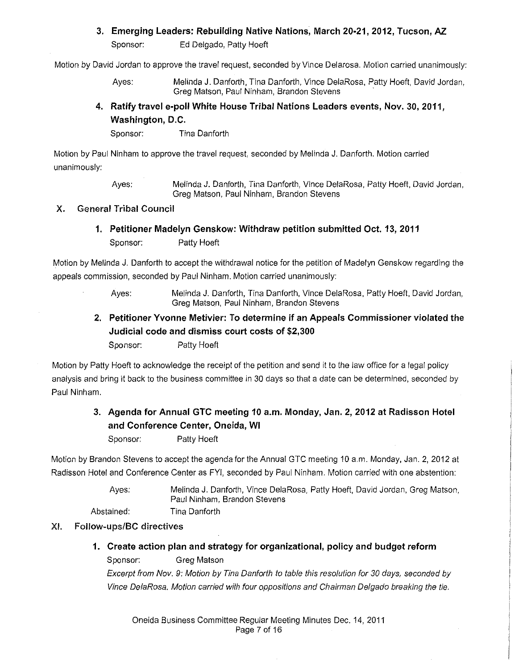### **3. Emerging Leaders: Rebuilding Native Nations, March 20·21, 2012, Tucson, AZ.**

Sponsor: Ed Delgado, Patty Hoeft

Motion by David Jordan to approve the travel request, seconded by Vince Delarosa. Motion carried unanimously:

Ayes: Melinda J. Danforth, Tina Danforth, Vince DelaRosa, Patty Hoeft, David Jordan, Greg Matson, Paul Ninham, Brandon Stevens

### **4. Ratify travel e-poll White House Tribal Nations Leaders events, Nov. 30, 2011, Washington, D.C.**

Sponsor: Tina Danforth

Motion by Paul Ninham to approve the travel request, seconded by Melinda J. Danforth. Motion carried unanimously:

> Ayes: Melinda J. Danforth, Tina Danforth, Vince DelaRosa, Patty Hoeft, David Jordan, Greg Matson, Paul Ninham, Brandon Stevens

### X. General Tribal Council

# **1. Petitioner Madelyn Genskow: Withdraw petition submitted Oct. 13, 2011**  Sponsor: Patty Hoeft

Motion by Melinda J. Danforth to accept the withdrawal notice for the petition of Madelyn Genskow regarding the appeals commission, seconded by Paul Ninham. Motion carried unanimously:

> Ayes: Melinda J. Danforth, Tina Danforth, Vince DelaRosa, Patty Hoeft, David Jordan, Greg Matson, Paul Ninham, Brandon Stevens

# **2. Petitioner Yvonne Metivier: To determine if an Appeals Commissioner violated the Judicial code and dismiss court costs of \$2,300**

Sponsor: Patty Hoeft

Motion by Patty Hoeft to acknowledge the receipt of the petition and send it to the law office for a legal policy analysis and bring it back to the business committee in 30 days so that a date can be determined, seconded by Paul Ninham.

# **3. Agenda for Annual GTC meeting 10 a.m. Monday, Jan. 2, 2012 at Radisson Hotel and Conference Center, Oneida, WI**

Sponsor: Patty Hoeft

Motion by Brandon Stevens to accept the agenda for the Annual GTC meeting 10 a.m. Monday, Jan. 2, 2012 at Radisson Hotel and Conference Center as FYI, seconded by Paul Ninham. Motion carried with one abstention:

> Ayes: Melinda J. Danforth, Vince DelaRosa, Patty Hoeft, David Jordan, Greg Matson, Paul Ninham, Brandon Stevens

Abstained: Tina Danforth

# XI. Follow-ups/BC directives

**1. Create action plan and strategy for organizational, policy and budget reform**  Sponsor: Greg Matson

Excerpt from Nov. 9: Motion by Tina Danforth to table this resolution for 30 days, seconded by Vince DelaRosa. Motion carried with four oppositions and Chairman Delgado breaking the tie.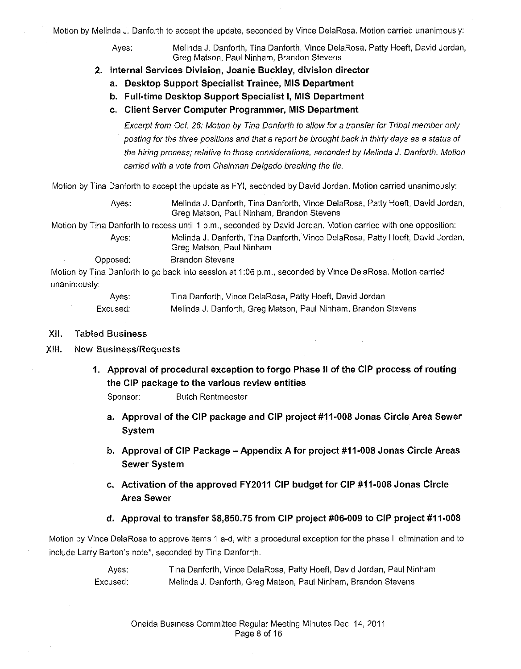Motion by Melinda J. Danforth to accept the update, seconded by Vince DelaRosa. Motion carried unanimously:

Ayes: Melinda J. Danforth, Tina Danforth, Vince DelaRosa, Patty Hoeft, David Jordan, Greg Matson, Paul Ninham, Brandon Stevens

- **2. Internal Services Division, Joanie Buckley, division director** 
	- **a. Desktop Support Specialist Trainee, MIS Department**
	- **b. Full-time Desktop Support Specialist I, MIS Department**
	- **c. Client Server Computer Programmer, MIS Department**

Excerpt from Oct. 26: Motion by Tina Danforth to allow for a transfer for Tribal member only posting for the three positions and that a report be brought back in thirty days as a status of the hiring process; relative to those considerations, seconded by Melinda J. Danforth. Motion carried with a vote from Chairman Delgado breaking the tie.

Motion by Tina Danforth to accept the update as FYI, seconded by David Jordan. Motion carried unanimously:

Ayes: Melinda J. Danforth, Tina Danforth, Vince DelaRosa, Patty Hoeft, David Jordan, Greg Matson, Paul Ninham, Brandon Stevens

Motion by Tina Danforth to recess until 1 p.m., seconded by David Jordan. Motion carried with one opposition:

Ayes: Melinda J. Danforth, Tina Danforth, Vince DelaRosa, Patty Hoeft, David Jordan, Greg Matson, Paul Ninham

Opposed: Brandon Stevens

Motion by Tina Danforth to go back into session at 1:06 p.m., seconded by Vince DelaRosa. Motion carried unanimously:

| Ayes:    | Tina Danforth, Vince DelaRosa, Patty Hoeft, David Jordan       |
|----------|----------------------------------------------------------------|
| Excused. | Melinda J. Danforth, Greg Matson, Paul Ninham, Brandon Stevens |

- XII. Tabled Business
- XIII. New Business/Requests
	- **1. Approval of procedural exception to forgo Phase II of the CIP process of routing the CIP package to the various review entities**

Sponsor: Butch Rentmeester

- **a. Approval of the CIP package and CIP project #11-008 Jonas Circle Area Sewer System**
- **b. Approval of CIP Package -Appendix A for project #11-008 Jonas Circle Areas Sewer System**
- **c. Activation of the approved FY2011 CIP budget for CIP #11-008 Jonas Circle Area Sewer**
- **d. Approval to transfer \$8,850.75 from CIP project #06-009 to CIP project #11-008**

Motion by Vince DelaRosa to approve items 1 a-d, with a procedural exception for the phase II elimination and to include Larry Barton's note\*, seconded by Tina Danforrth.

> Ayes: Excused: Tina Danforth, Vince DelaRosa, Patty Hoeft, David Jordan, Paul Ninham Melinda J. Danforth, Greg Matson, Paul Ninham, Brandon Stevens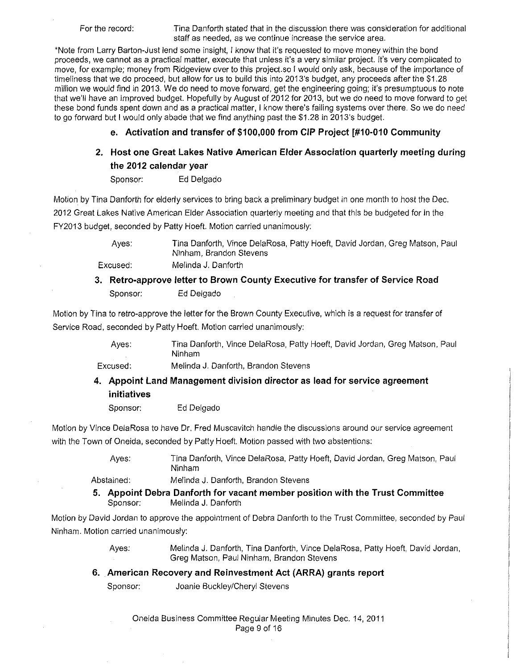For the record: Tina Danforth stated that in the discussion there was consideration for additional staff as needed, as we continue increase the service area.

\*Note from Larry Barton-Just lend some insight, I know that it's requested to move money within the bond proceeds, we cannot as a practical matter, execute that unless it's a very similar project. It's very complicated to move, for example; money from Ridgeview over to this project.so I would only ask, because of the importance of timeliness that we do proceed, but allow for us to build this into 2013's budget, any proceeds after the \$1.28 million we would find in 2013. We do need to move forward, get the engineering going; it's presumptuous to note that we'll have an improved budget. Hopefully by August of 2012 for 2013, but we do need to move forward to get these bond funds spent down and as a practical matter, I know there's failing systems over there. So we do need to go forward but I would only abade that we find anything past the \$1.28 in 2013's budget.

### **e. Activation and transfer of \$100,000 from CIP Project [#10-010 Community**

# **2. Host one Great Lakes Native American Elder Association quarterly meeting during the 2012 calendar year**

Sponsor: Ed Delgado

Motion by Tina Danforth for elderly services to bring back a preliminary budget in one month to host the Dec. 2012 Great Lakes Native American Elder Association quarterly meeting and that this be budgeted for in the FY2013 budget, seconded by Patty Hoeft. Motion carried unanimously:

> Ayes: Tina Danforth, Vince DelaRosa, Patty Hoeft, David Jordan, Greg Matson, Paul Ninham, Brandon Stevens

Excused:

# **3. Retro-approve letter to Brown County Executive for transfer of Service Road**  Sponsor: Ed Delgado

Motion by Tina to retro-approve the letter for the Brown County Executive, which is a request for transfer of Service Road, seconded by Patty Hoeft. Motion carried unanimously:

Melinda J. Danforth, Brandon Stevens

Ayes: Tina Danforth, Vince DelaRosa, Patty Hoeft, David Jordan, Greg Matson, Paul Ninham

Excused:

# **4. Appoint Land Management division director as lead for service agreement initiatives**

Sponsor: Ed Delgado

Motion by Vince DelaRosa to have Dr. Fred Muscavitch handle the discussions around our service agreement with the Town of Oneida, seconded by Patty Hoeft. Motion passed with two abstentions:

> Ayes: Tina Danforth, Vince DelaRosa, Patty Hoeft, David Jordan, Greg Matson, Paul Ninham

Abstained: Melinda J. Danforth, Brandon Stevens

Melinda J. Danforth

**5. Appoint Debra Danforth for vacant member position with the Trust Committee**  Sponsor: Melinda J. Danforth

Motion by David Jordan to approve the appointment of Debra Danforth to the Trust Committee, seconded by Paul Ninham. Motion carried unanimously:

> Ayes: Melinda J. Danforth, Tina Danforth, Vince DelaRosa, Patty Hoeft, David Jordan, Greg Matson, Paul Ninham, Brandon Stevens

### **6. American Recovery and Reinvestment Act (ARRA) grants report**

Sponsor: Joanie Buckley/Cheryl Stevens

Oneida Business Committee Regular Meeting Minutes Dec. 14, 2011 Page 9 of 16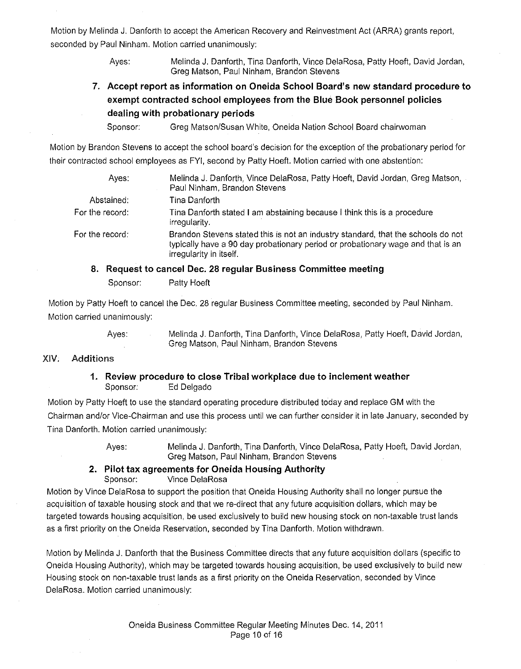Motion by Melinda J. Danforth to accept the American Recovery and Reinvestment Act (ARRA) grants report, seconded by Paul Ninham. Motion carried unanimously:

> Ayes: Melinda J. Danforth, Tina Danforth, Vince DelaRosa, Patty Hoeft, David Jordan, Greg Matson, Paul Ninham, Brandon Stevens

**7. Accept report as information on Oneida School Board's new standard procedure to exempt contracted school employees from the Blue Book personnel policies dealing with probationary periods** 

Sponsor: Greg Matson/Susan White, Oneida Nation School Board chairwoman

Motion by Brandon Stevens to accept the school board's decision for the exception of the probationary period for their contracted school employees as FYI, second by Patty Hoeft. Motion carried with one abstention:

| Ayes:                | Melinda J. Danforth, Vince DelaRosa, Patty Hoeft, David Jordan, Greg Matson,<br>Paul Ninham, Brandon Stevens                                                                                   |
|----------------------|------------------------------------------------------------------------------------------------------------------------------------------------------------------------------------------------|
| Abstained:           | Tina Danforth                                                                                                                                                                                  |
| For the record:      | Tina Danforth stated I am abstaining because I think this is a procedure<br>irregularity.                                                                                                      |
| For the record: $\,$ | Brandon Stevens stated this is not an industry standard, that the schools do not<br>typically have a 90 day probationary period or probationary wage and that is an<br>irregularity in itself. |
|                      | $\mathbb{R}$ , and $\mathbb{R}$ are a set of $\mathbb{R}$ . The set of $\mathbb{R}$ is the set of $\mathbb{R}$                                                                                 |

#### **8. Request to cancel Dec. 28 regular Business Committee meeting**

Sponsor: Patty Hoeft

Motion by Patty Hoeft to cancel the Dec. 28 regular Business Committee meeting, seconded by Paul Ninham. Motion carried unanimously:

> Ayes: Melinda J. Danforth, Tina Danforth, Vince DelaRosa, Patty Hoeft, David Jordan, Greg Matson, Paul Ninham, Brandon Stevens

#### XIV. Additions

#### **1. Review procedure to close Tribal workplace due to inclement weather**  Sponsor: Ed Delgado

Motion by Patty Hoeft to use the standard operating procedure distributed today and replace GM with the Chairman and/or Vice-Chairman and use this process until we can further consider it in late January, seconded by Tina Danforth. Motion carried unanimously:

Ayes: Melinda J. Danforth, Tina Danforth, Vince DelaRosa, Patty Hoeft, David Jordan, Greg Matson, Paul Ninham, Brandon Stevens

#### **2. Pilot tax agreements for Oneida Housing Authority**  Sponsor: Vince DelaRosa

Motion by Vince DelaRosa to support the position that Oneida Housing Authority shall no longer pursue the acquisition of taxable housing stock and that we re-direct that any future acquisition dollars, which may be targeted towards housing acquisition, be used exclusively to build new housing stock on non-taxable trust lands as a first priority on the Oneida Reservation, seconded by Tina Danforth. Motion withdrawn.

Motion by Melinda J. Danforth that the Business Committee directs that any future acquisition dollars (specific to Oneida Housing Authority), which may be targeted towards housing acquisition, be used exclusively to build new Housing stock on non-taxable trust lands as a first priority on the Oneida Reservation, seconded by Vince DelaRosa. Motion carried unanimously: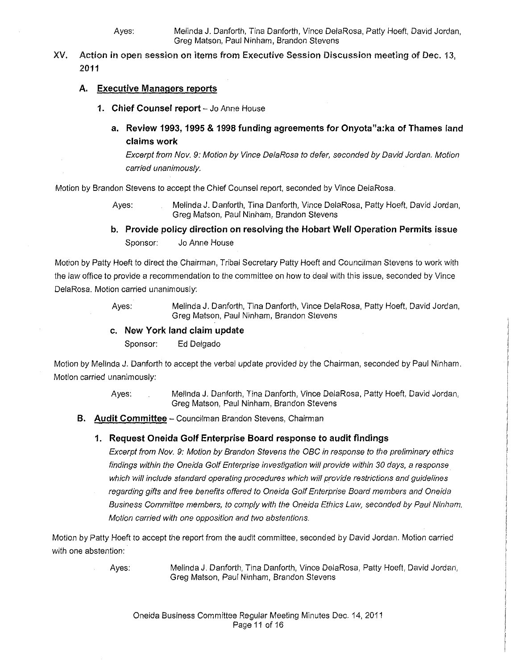Ayes: Melinda J. Danforth, Tina Danforth, Vince DelaRosa, Patty Hoeft, David Jordan, Greg Matson, Paul Ninham, Brandon Stevens

XV. Action in open session on items from Executive Session Discussion meeting of Dec. 13, 2011

### **A. Executive Managers reports**

- 1. Chief Counsel report Jo Anne House
	- **a. Review 1993, 1995 & 1998 funding agreements for Onyota"a:ka of Thames land claims work**

Excerpt from Nov. 9: Motion by Vince DelaRosa to defer, seconded by David Jordan. Motion carried unanimously.

Motion by Brandon Stevens to accept the Chief Counsel report, seconded by Vince DelaRosa.

Ayes: Melinda J. Danforth, Tina Danforth, Vince DelaRosa, Patty Hoeft, David Jordan, Greg Matson, Paul Ninham, Brandon Stevens

**b. Provide policy direction on resolving the Hobart Well Operation Permits issue**  Sponsor: Jo Anne House

Motion by Patty Hoeft to direct the Chairman, Tribal Secretary Patty Hoeft and Councilman Stevens to work with the law office to provide a recommendation to the committee on how to deal with this issue, seconded by Vince DelaRosa. Motion carried unanimously:

> Ayes: Melinda J. Danforth, Tina Danforth, Vince DelaRosa, Patty Hoeft, David Jordan, Greg Matson, Paul Ninham, Brandon Stevens

### **c. New York land claim update**

Sponsor: Ed Delgado

Motion by Melinda J. Danforth to accept the verbal update provided by the Chairman, seconded by Paul Ninham. Motion carried unanimously:

> Ayes: Melinda J. Danforth, Tina Danforth, Vince DelaRosa, Patty Hoeft, David Jordan, Greg Matson, Paul Ninham, Brandon Stevens

**B. Audit Committee-** Councilman Brandon Stevens, Chairman

### **1. Request Oneida Golf Enterprise Board response to audit findings**

Excerpt from Nov. 9: Motion by Brandon Stevens the OBC in response to the preliminary ethics findings within the Oneida Golf Enterprise investigation will provide within 30 days, a response which will include standard operating procedures which will provide restrictions and guidelines regarding gifts and free benefits offered to Oneida Golf Enterprise Board members and Oneida Business Committee members, to comply with the Oneida Ethics Law, seconded by Paul Ninham. Motion carried with one opposition and two abstentions.

Motion by Patty Hoeft to accept the report from the audit committee, seconded by David Jordan. Motion carried with one abstention:

Ayes: Melinda J. Danforth, Tina Danforth, Vince DelaRosa, Patty Hoeft, David Jordan, Greg Matson, Paul Ninham, Brandon Stevens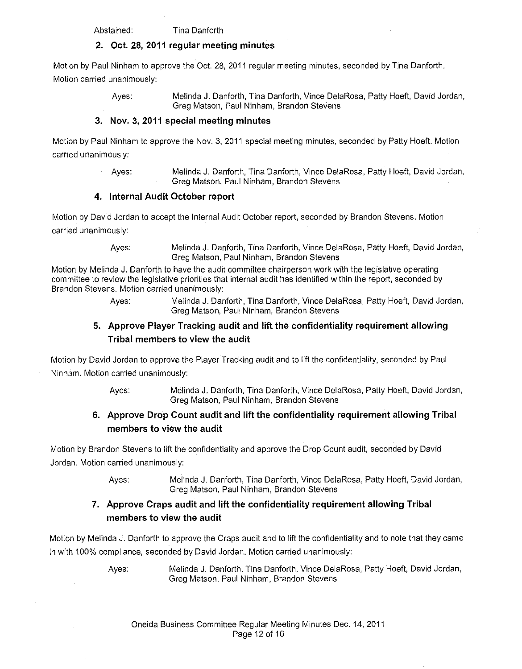Abstained: Tina Danforth

### **2. Oct. 28, 2011 regular meeting minutes**

Motion by Paul Ninham to approve the Oct. 28, 2011 regular meeting minutes, seconded by Tina Danforth. Motion carried unanimously:

Ayes: Melinda **J.** Danforth, Tina Danforth, Vince DelaRosa, Patty Hoeft, David Jordan, Greg Matson, Paul Ninham, Brandon Stevens

### **3. Nov. 3, 2011 special meeting minutes**

Motion by Paul Ninham to approve the Nov. 3, 2011 special meeting minutes, seconded by Patty Hoeft. Motion carried unanimously:

> Ayes: Melinda J. Danforth, Tina Danforth, Vince DelaRosa, Patty Hoeft, David Jordan, Greg Matson, Paul Ninham, Brandon Stevens

### **4. Internal Audit October report**

Motion by David Jordan to accept the Internal Audit October report, seconded by Brandon Stevens. Motion carried unanimously:

> Ayes: Melinda **J.** Danforth, Tina Danforth, Vince DelaRosa, Patty Hoeft, David Jordan, Greg Matson, Paul Ninham, Brandon Stevens

Motion by Melinda J. Danforth to have the audit committee chairperson work with the legislative operating committee to review the legislative priorities that internal audit has identified within the report, seconded by Brandon Stevens. Motion carried unanimously:

> Ayes: Melinda **J.** Danforth, Tina Danforth, Vince DelaRosa, Patty Hoeft, David Jordan, Greg Matson, Paul Ninham, Brandon Stevens

# **5. Approve Player Tracking audit and lift the confidentiality requirement allowing Tribal members to view the audit**

Motion by David Jordan to approve the Player Tracking audit and to lift the confidentiality, seconded by Paul Ninham. Motion carried unanimously:

> Ayes: Melinda **J.** Danforth, Tina Danforth, Vince DelaRosa, Patty Hoeft, David Jordan, Greg Matson, Paul Ninham, Brandon Stevens

# **6. Approve Drop Count audit and lift the confidentiality requirement allowing Tribal members to view the audit**

Motion by Brandon Stevens to lift the confidentiality and approve the Drop Count audit, seconded by David Jordan. Motion carried unanimously:

> Ayes: Melinda J. Danforth, Tina Danforth, Vince DelaRosa, Patty Hoeft, David Jordan, Greg Matson, Paul Ninham, Brandon Stevens

# **7. Approve Craps audit and lift the confidentiality requirement allowing Tribal members to view the audit**

Motion by Melinda J. Danforth to approve the Craps audit and to lift the confidentiality and to note that they came in with 100% compliance, seconded by David Jordan. Motion carried unanimously:

> Ayes: Melinda J. Danforth, Tina Danforth, Vince DelaRosa, Patty Hoeft, David Jordan, Greg Matson, Paul Ninham, Brandon Stevens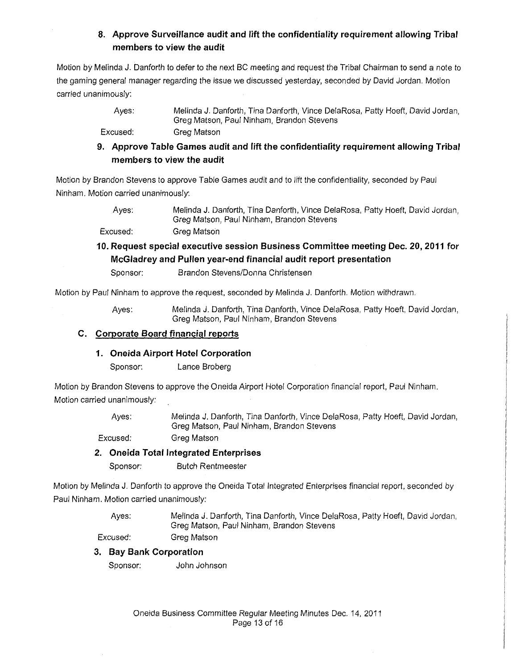# **8. Approve Surveillance audit and lift the confidentiality requirement allowing Tribal members to view the audit**

Motion by Melinda J. Danforth to defer to the next BC meeting and request the Tribal Chairman to send a note to the gaming general manager regarding the issue we discussed yesterday, seconded by David Jordan. Motion carried unanimously:

> Ayes: Melinda J. Danforth, Tina Danforth, Vince DelaRosa, Patty Hoeft, David Jordan, Greg Matson, Paul Ninham, Brandon Stevens

Excused: Greg Matson

**9. Approve Table Games audit and lift the confidentiality requirement allowing Tribal members to view the audit** 

Motion by Brandon Stevens to approve Table Games audit and to lift the confidentiality, seconded by Paul Ninham. Motion carried unanimously:

> Ayes: Melinda J. Danforth, Tina Danforth, Vince DelaRosa, Patty Hoeft, David Jordan, Greg Matson, Paul Ninham, Brandon Stevens

Excused: Greg Matson

# **10. Request special executive session Business Committee meeting Dec. 20,2011 for McGiadrey and Pullen year-end financial audit report presentation**

Sponsor: Brandon Stevens/Donna Christensen

Motion by Paul Ninham to approve the request, seconded by Melinda J. Danforth. Motion withdrawn.

Ayes: Melinda J. Danforth, Tina Danforth, Vince DelaRosa, Patty Hoeft, David Jordan, Greg Matson, Paul Ninham, Brandon Stevens

# **C. Corporate Board financial reports**

# **1. Oneida Airport Hotel Corporation**

Sponsor: Lance Broberg

Motion by Brandon Stevens to approve the Oneida Airport Hotel Corporation financial report, Paul Ninham. Motion carried unanimously:

> Ayes: Melinda J. Danforth, Tina Danforth, Vince DelaRosa, Patty Hoeft, David Jordan, Greg Matson, Paul Ninham, Brandon Stevens

Excused: Greg Matson

# **2. Oneida Total Integrated Enterprises**

Sponsor: Butch Rentmeester

Motion by Melinda J. Danforth to approve the Oneida Total Integrated Enterprises financial report, seconded by Paul Ninham. Motion carried unanimously:

> Ayes: Melinda J. Danforth, Tina Danforth, Vince DelaRosa, Patty Hoeft, David Jordan, Greg Matson, Paul Ninham, Brandon Stevens

Excused: Greg Matson

# **3. Bay Bank Corporation**

Sponsor: John Johnson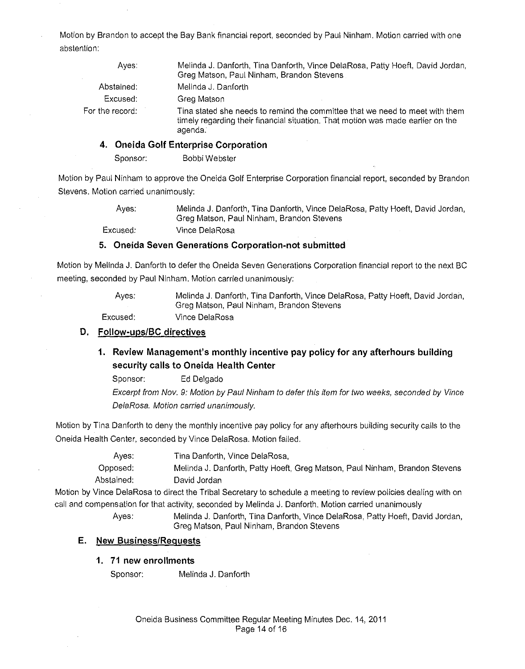Motion by Brandon to accept the Bay Bank financial report, seconded by Paul Ninham. Motion carried with one abstention:

| Aves:           | Melinda J. Danforth, Tina Danforth, Vince DelaRosa, Patty Hoeft, David Jordan,<br>Greg Matson, Paul Ninham, Brandon Stevens                                                |
|-----------------|----------------------------------------------------------------------------------------------------------------------------------------------------------------------------|
| Abstained:      | Melinda J. Danforth                                                                                                                                                        |
| Excused:        | Greg Matson                                                                                                                                                                |
| For the record: | Tina stated she needs to remind the committee that we need to meet with them<br>timely regarding their financial situation. That motion was made earlier on the<br>agenda. |
|                 |                                                                                                                                                                            |

#### **4. Oneida Golf Enterprise Corporation**

Sponsor: Bobbi Webster

Motion by Paul Ninham to approve the Oneida Golf Enterprise Corporation financial report, seconded by Brandon Stevens. Motion carried unanimously:

> Ayes: Excused: Melinda **J.** Danforth, **Tina** Danforth, Vince DelaRosa, Patty Hoeft, David Jordan, Greg Matson, Paul Ninham, Brandon Stevens Vince DelaRosa

### **5. Oneida Seven Generations Corporation-not submitted**

Motion by Melinda J. Danforth to defer the Oneida Seven Generations Corporation financial report to the next BC meeting, seconded by Paul Ninham. Motion carried unanimously:

> Ayes: Excused: Melinda J. Danforth, Tina Danforth, Vince DelaRosa, Patty Hoeft, David Jordan, Greg Matson, Paul Ninham, Brandon Stevens Vince DelaRosa

#### **D. Follow-ups/BC directives**

# **1. Review Management's monthly incentive pay policy for any afterhours building security calls to Oneida Health Center**

Sponsor: Ed Delgado

Excerpt from Nov. 9: Motion by Paul Ninham to defer this item for two weeks, seconded by Vince DelaRosa. Motion carried unanimously.

Motion by Tina Danforth to deny the monthly incentive pay policy for any afterhours building security calls to the Oneida Health Center, seconded by Vince DelaRosa. Motion failed.

> Ayes: Tina Danforth, Vince DelaRosa,

Opposed: Abstained: Melinda J. Danforth, Patty Hoeft, Greg Matson, Paul Ninham, Brandon Stevens David Jordan

Motion by Vince DelaRosa to direct the Tribal Secretary to schedule a meeting to review policies dealing with on call and compensation for that activity, seconded by Melinda J. Danforth. Motion carried unanimously

Ayes: Melinda J. Danforth, Tina Danforth, Vince DelaRosa, Patty Hoeft, David Jordan, Greg Matson, Paul Ninham, Brandon Stevens

#### **E. New Business/Requests**

#### **1. 71 new enrollments**

Sponsor: Melinda J. Danforth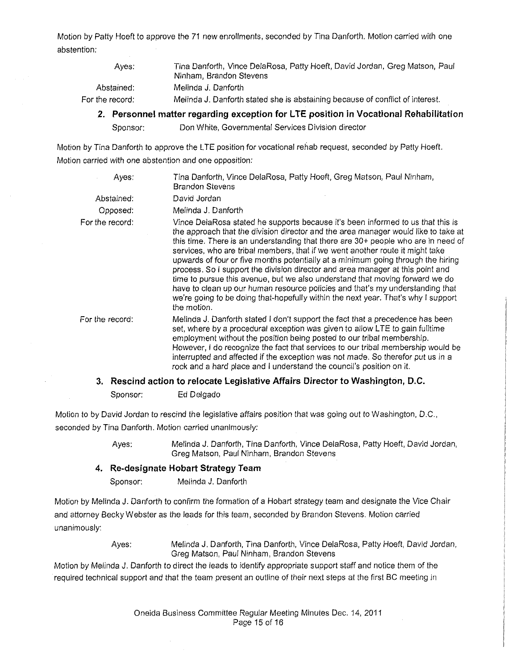Motion by Patty Hoeft to approve the 71 new enrollments, seconded by Tina Danforth. Motion carried with one abstention:

| Aves:             | Tina Danforth, Vince DelaRosa, Patty Hoeft, David Jordan, Greg Matson, Paul<br>Ninham, Brandon Stevens |
|-------------------|--------------------------------------------------------------------------------------------------------|
| Abstained:        | Melinda J. Danforth                                                                                    |
| For the record: l | Melinda J. Danforth stated she is abstaining because of conflict of interest.                          |

**2. Personnel matter regarding exception for L TE position in Vocational Rehabilitation** 

Sponsor: Don White, Governmental Services Division director

Motion by Tina Danforth to approve the **L TE** position for vocational rehab request, seconded by Patty Hoeft. Motion carried with one abstention and one opposition:

| Aves:           | Tina Danforth, Vince DelaRosa, Patty Hoeft, Greg Matson, Paul Ninham,<br><b>Brandon Stevens</b>                                                                                                                                                                                                                                                                                                                                                                                                                                                                                                                                                                                                                                                                                        |
|-----------------|----------------------------------------------------------------------------------------------------------------------------------------------------------------------------------------------------------------------------------------------------------------------------------------------------------------------------------------------------------------------------------------------------------------------------------------------------------------------------------------------------------------------------------------------------------------------------------------------------------------------------------------------------------------------------------------------------------------------------------------------------------------------------------------|
| Abstained:      | David Jordan                                                                                                                                                                                                                                                                                                                                                                                                                                                                                                                                                                                                                                                                                                                                                                           |
| Opposed:        | Melinda J. Danforth                                                                                                                                                                                                                                                                                                                                                                                                                                                                                                                                                                                                                                                                                                                                                                    |
| For the record: | Vince DelaRosa stated he supports because it's been informed to us that this is<br>the approach that the division director and the area manager would like to take at<br>this time. There is an understanding that there are 30+ people who are in need of<br>services, who are tribal members, that if we went another route it might take<br>upwards of four or five months potentially at a minimum going through the hiring<br>process. So I support the division director and area manager at this point and<br>time to pursue this avenue, but we also understand that moving forward we do<br>have to clean up our human resource policies and that's my understanding that<br>we're going to be doing that-hopefully within the next year. That's why I support<br>the motion. |
| For the record: | Melinda J. Danforth stated I don't support the fact that a precedence has been<br>set, where by a procedural exception was given to allow LTE to gain fulltime<br>employment without the position being posted to our tribal membership.<br>However, I do recognize the fact that services to our tribal membership would be<br>interrupted and affected if the exception was not made. So therefor put us in a<br>rock and a hard place and I understand the council's position on it.                                                                                                                                                                                                                                                                                                |
|                 | 3. Rescind action to relocate Legislative Affairs Director to Washington, D.C.                                                                                                                                                                                                                                                                                                                                                                                                                                                                                                                                                                                                                                                                                                         |

Sponsor: Ed Delgado

Motion to by David Jordan to rescind the legislative affairs position that was going out to Washington, D.C., seconded by Tina Danforth. Motion carried unanimously:

> Ayes: Melinda J. Danforth, Tina Danforth, Vince DelaRosa, Patty Hoeft, David Jordan, Greg Matson, Paul Ninham, Brandon Stevens

### **4. Re-designate Hobart Strategy Team**

Sponsor: Melinda J. Danforth

Motion by Melinda **J.** Danforth to confirm the formation of a Hobart strategy team and designate the Vice Chair and attorney Becky Webster as the leads for this team, seconded by Brandon Stevens. Motion carried unanimously:

> Ayes: Melinda J. Danforth, Tina Danforth, Vince DelaRosa, Patty Hoeft, David Jordan, Greg Matson, Paul Ninham, Brandon Stevens

Motion by Melinda J. Danforth to direct the leads to identify appropriate support staff and notice them of the required technical support and that the team present an outline of their next steps at the first BC meeting in

> Oneida Business Committee Regular Meeting Minutes Dec. 14, 2011 Page 15 of 16